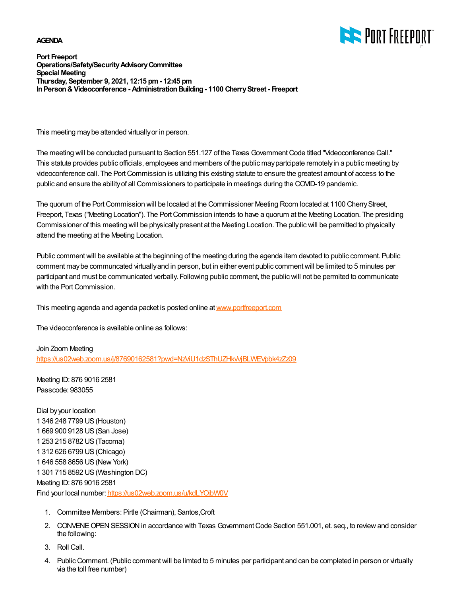## **AGENDA**



**Port Freeport Operations/Safety/Security Advisory Committee Special Meeting Thursday, September 9, 2021, 12:15 pm - 12:45 pm In Person & Videoconference - Administration Building - 1100 Cherry Street - Freeport**

This meeting may be attended virtually or in person.

The meeting will be conducted pursuant to Section 551.127 of the Texas Government Code titled "Videoconference Call." This statute provides public officials, employees and members of the public may partcipate remotely in a public meeting by videoconference call. The Port Commission is utilizing this existing statute to ensure the greatest amount of access to the public and ensure the ability of all Commissioners to participate in meetings during the COVID-19 pandemic.

The quorum of the Port Commission will be located at the Commissioner Meeting Room located at 1100 Cherry Street, Freeport, Texas ("Meeting Location"). The Port Commission intends to have a quorum at the Meeting Location. The presiding Commissioner of this meeting will be physically present at the Meeting Location. The public will be permitted to physically attend the meeting at the Meeting Location.

Public comment will be available at the beginning of the meeting during the agenda item devoted to public comment. Public comment may be communcated virtually and in person, but in either event public comment will be limited to 5 minutes per participant and must be communicated verbally. Following public comment, the public will not be permited to communicate with the Port Commission.

This meeting agenda and agenda packet is posted online at [www.portfreeport.com](http://www.portfreeport.com)

The videoconference is available online as follows:

Join Zoom Meeting <https://us02web.zoom.us/j/87690162581?pwd=NzViU1dzSThUZHkvVjBLWEVpbk4zZz09>

Meeting ID: 876 9016 2581 Passcode: 983055

Dial by your location 1 346 248 7799 US (Houston) 1 669 900 9128 US (San Jose) 1 253 215 8782 US (Tacoma) 1 312 626 6799 US (Chicago) 1 646 558 8656 US (New York) 1 301 715 8592 US (Washington DC) Meeting ID: 876 9016 2581 Find your local number:<https://us02web.zoom.us/u/kdLYOjbW0V>

- 1. Committee Members: Pirtle (Chairman), Santos,Croft
- 2. CONVENE OPEN SESSION in accordance with Texas Government Code Section 551.001, et. seq., to review and consider the following:
- 3. Roll Call.
- 4. Public Comment. (Public comment will be limted to 5 minutes per participant and can be completed in person or virtually via the toll free number)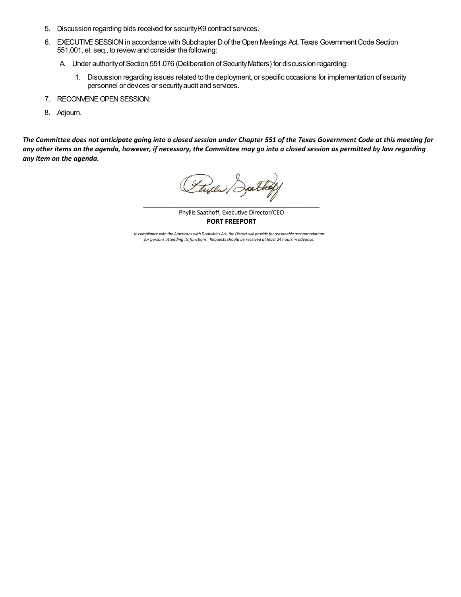- 5. Discussion regarding bids received for security K9 contract services.
- EXECUTIVE SESSION in accordance with Subchapter D of the Open Meetings Act, Texas Government Code Section 6. 551.001, et. seq., to review and consider the following:
	- A. Under authority of Section 551.076 (Deliberation of Security Matters) for discussion regarding:
		- 1. Discussion regarding issues related to the deployment, or specific occasions for implementation of security personnel or devices or security audit and services.
- 7. RECONVENE OPEN SESSION:
- 8. Adjourn.

*The Committee does not anticipate going into a closed session under Chapter 551 of the Texas Government Code at this meeting for any other items on the agenda, however, if necessary, the Committee may go into a closed session as permitted by law regarding any item on the agenda.* 

Flyer Deathy

Phyllis Saathoff, Executive Director/CEO **PORT FREEPORT**

*In compliance with the Americans with Disabilities Act, the District will provide for reasonable accommodations for persons attending its functions. Requests should be received at least 24 hours in advance.*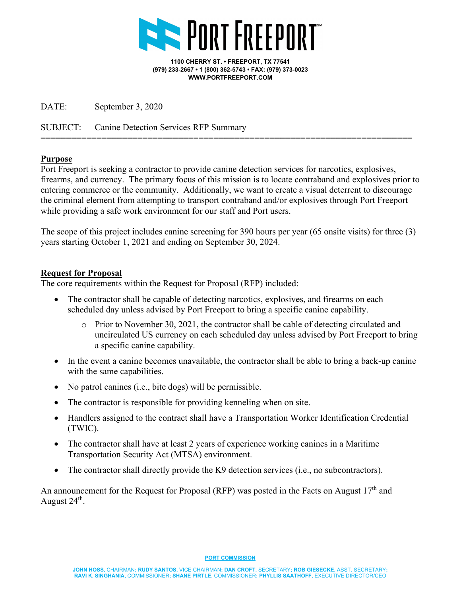

**1100 CHERRY ST. • FREEPORT, TX 77541 (979) 233-2667 • 1 (800) 362-5743 • FAX: (979) 373-0023 WWW.PORTFREEPORT.COM**

DATE: September 3, 2020

SUBJECT: Canine Detection Services RFP Summary

## **Purpose**

Port Freeport is seeking a contractor to provide canine detection services for narcotics, explosives, firearms, and currency. The primary focus of this mission is to locate contraband and explosives prior to entering commerce or the community. Additionally, we want to create a visual deterrent to discourage the criminal element from attempting to transport contraband and/or explosives through Port Freeport while providing a safe work environment for our staff and Port users.

=========================================================================

The scope of this project includes canine screening for 390 hours per year (65 onsite visits) for three (3) years starting October 1, 2021 and ending on September 30, 2024.

## **Request for Proposal**

The core requirements within the Request for Proposal (RFP) included:

- The contractor shall be capable of detecting narcotics, explosives, and firearms on each scheduled day unless advised by Port Freeport to bring a specific canine capability.
	- $\circ$  Prior to November 30, 2021, the contractor shall be cable of detecting circulated and uncirculated US currency on each scheduled day unless advised by Port Freeport to bring a specific canine capability.
- In the event a canine becomes unavailable, the contractor shall be able to bring a back-up canine with the same capabilities.
- No patrol canines (i.e., bite dogs) will be permissible.
- The contractor is responsible for providing kenneling when on site.
- Handlers assigned to the contract shall have a Transportation Worker Identification Credential (TWIC).
- The contractor shall have at least 2 years of experience working canines in a Maritime Transportation Security Act (MTSA) environment.
- The contractor shall directly provide the K9 detection services (i.e., no subcontractors).

An announcement for the Request for Proposal (RFP) was posted in the Facts on August  $17<sup>th</sup>$  and August  $24<sup>th</sup>$ .

**PORT COMMISSION**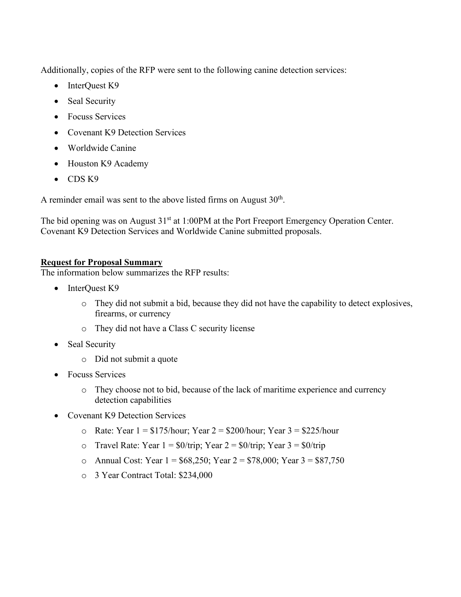Additionally, copies of the RFP were sent to the following canine detection services:

- InterQuest K9
- Seal Security
- Focuss Services
- Covenant K9 Detection Services
- Worldwide Canine
- Houston K9 Academy
- CDS K9

A reminder email was sent to the above listed firms on August  $30<sup>th</sup>$ .

The bid opening was on August 31<sup>st</sup> at 1:00PM at the Port Freeport Emergency Operation Center. Covenant K9 Detection Services and Worldwide Canine submitted proposals.

## **Request for Proposal Summary**

The information below summarizes the RFP results:

- InterQuest K9
	- o They did not submit a bid, because they did not have the capability to detect explosives, firearms, or currency
	- o They did not have a Class C security license
- Seal Security
	- o Did not submit a quote
- Focuss Services
	- o They choose not to bid, because of the lack of maritime experience and currency detection capabilities
- Covenant K9 Detection Services
	- o Rate: Year  $1 = $175/h$ our; Year  $2 = $200/h$ our; Year  $3 = $225/h$ our
	- o Travel Rate: Year  $1 = \frac{1}{90}$ /trip; Year  $2 = \frac{1}{90}$ /trip; Year  $3 = \frac{1}{90}$ /trip
	- o Annual Cost: Year  $1 = $68,250$ ; Year  $2 = $78,000$ ; Year  $3 = $87,750$
	- o 3 Year Contract Total: \$234,000